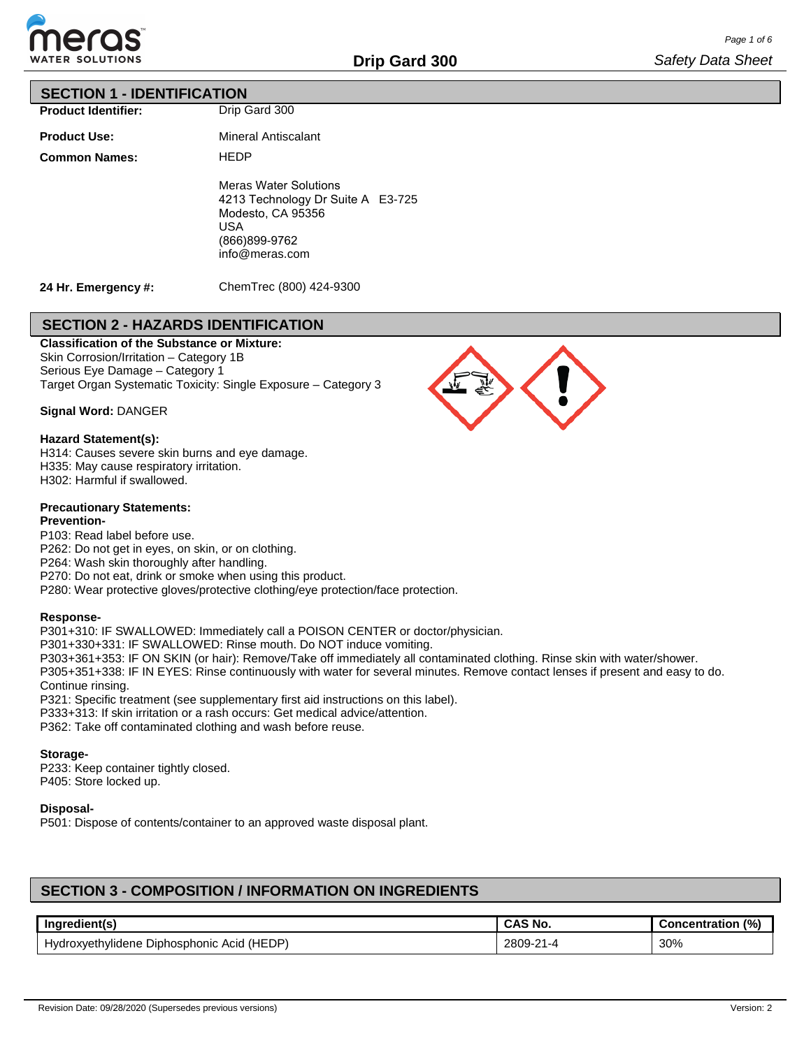

## **SECTION 1 - IDENTIFICATION**

**Product Identifier:**

**Product Use:**

**Common Names:**

Drip Gard 300

Mineral Antiscalant **HEDP** Meras Water Solutions 4213 Technology Dr Suite A E3-725 Modesto, CA 95356 USA (866)899-9762 info@meras.com

**24 Hr. Emergency #:**

ChemTrec (800) 424-9300

# **SECTION 2 - HAZARDS IDENTIFICATION**

**Classification of the Substance or Mixture:** Skin Corrosion/Irritation – Category 1B Serious Eye Damage – Category 1 Target Organ Systematic Toxicity: Single Exposure – Category 3

**Signal Word:** DANGER

## **Hazard Statement(s):**

H314: Causes severe skin burns and eye damage. H335: May cause respiratory irritation. H302: Harmful if swallowed.

## **Precautionary Statements:**

## **Prevention-**

P103: Read label before use.

P262: Do not get in eyes, on skin, or on clothing.

P264: Wash skin thoroughly after handling.

P270: Do not eat, drink or smoke when using this product.

P280: Wear protective gloves/protective clothing/eye protection/face protection.

## **Response-**

P301+310: IF SWALLOWED: Immediately call a POISON CENTER or doctor/physician.

P301+330+331: IF SWALLOWED: Rinse mouth. Do NOT induce vomiting.

P303+361+353: IF ON SKIN (or hair): Remove/Take off immediately all contaminated clothing. Rinse skin with water/shower. P305+351+338: IF IN EYES: Rinse continuously with water for several minutes. Remove contact lenses if present and easy to do. Continue rinsing.

P321: Specific treatment (see supplementary first aid instructions on this label).

P333+313: If skin irritation or a rash occurs: Get medical advice/attention.

P362: Take off contaminated clothing and wash before reuse.

## **Storage-**

P233: Keep container tightly closed. P405: Store locked up.

## **Disposal-**

P501: Dispose of contents/container to an approved waste disposal plant.

# **SECTION 3 - COMPOSITION / INFORMATION ON INGREDIENTS**

| Ingredient(s)                                   | <b>CAS No.</b>                       | (% )<br>.<br>Concentration |
|-------------------------------------------------|--------------------------------------|----------------------------|
| (HEDP)<br>Hydroxyethylidene Diphosphonic Acid ( | 2809-2<br>$\mathbf{A}$<br>$\sim$ 1-4 | 30%                        |

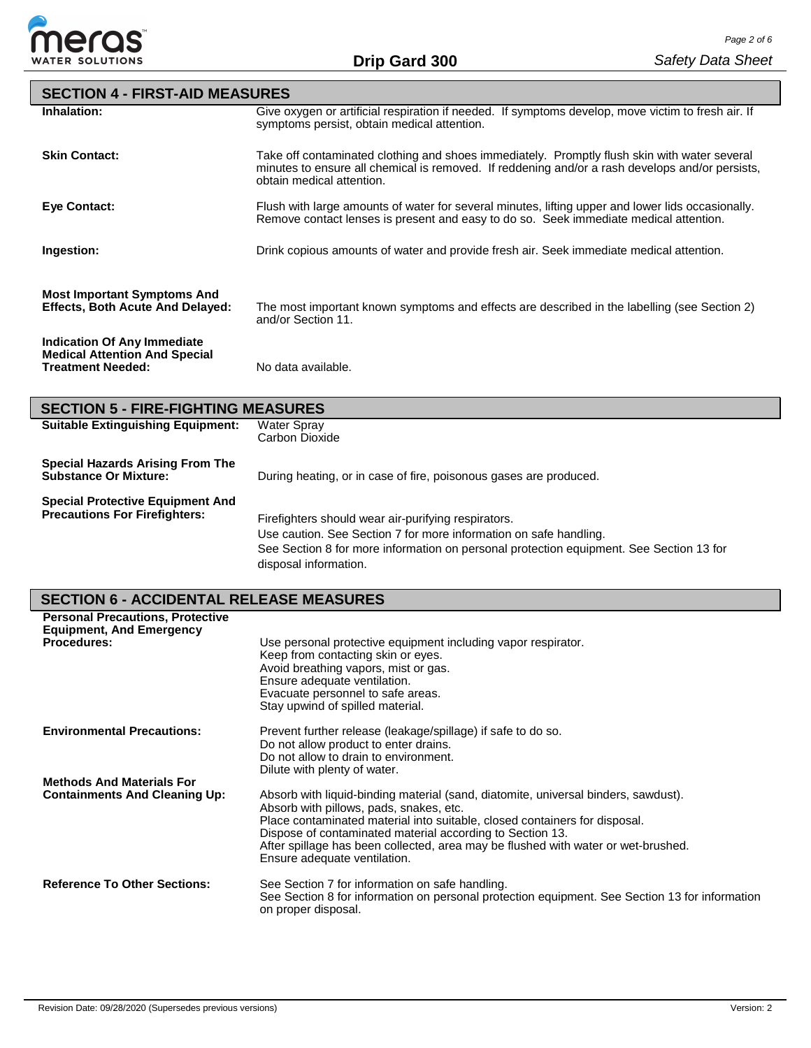

| <b>SECTION 4 - FIRST-AID MEASURES</b>                                                                  |                                                                                                                                                                                                                              |
|--------------------------------------------------------------------------------------------------------|------------------------------------------------------------------------------------------------------------------------------------------------------------------------------------------------------------------------------|
| Inhalation:                                                                                            | Give oxygen or artificial respiration if needed. If symptoms develop, move victim to fresh air. If<br>symptoms persist, obtain medical attention.                                                                            |
| <b>Skin Contact:</b>                                                                                   | Take off contaminated clothing and shoes immediately. Promptly flush skin with water several<br>minutes to ensure all chemical is removed. If reddening and/or a rash develops and/or persists,<br>obtain medical attention. |
| <b>Eve Contact:</b>                                                                                    | Flush with large amounts of water for several minutes, lifting upper and lower lids occasionally.<br>Remove contact lenses is present and easy to do so. Seek immediate medical attention.                                   |
| Ingestion:                                                                                             | Drink copious amounts of water and provide fresh air. Seek immediate medical attention.                                                                                                                                      |
| <b>Most Important Symptoms And</b><br><b>Effects, Both Acute And Delayed:</b>                          | The most important known symptoms and effects are described in the labelling (see Section 2)<br>and/or Section 11.                                                                                                           |
| <b>Indication Of Any Immediate</b><br><b>Medical Attention And Special</b><br><b>Treatment Needed:</b> | No data available.                                                                                                                                                                                                           |
| <b>SECTION 5 - FIRE-FIGHTING MEASURES</b>                                                              |                                                                                                                                                                                                                              |
| <b>Suitable Extinguishing Equipment:</b>                                                               | <b>Water Spray</b><br>Carbon Dioxide                                                                                                                                                                                         |
| <b>Special Hazards Arising From The</b><br><b>Substance Or Mixture:</b>                                | During heating, or in case of fire, poisonous gases are produced.                                                                                                                                                            |

| Use caution. See Section 7 for more information on safe handling. | <b>Special Protective Equipment And</b><br><b>Precautions For Firefighters:</b> | Firefighters should wear air-purifying respirators.                                     |
|-------------------------------------------------------------------|---------------------------------------------------------------------------------|-----------------------------------------------------------------------------------------|
|                                                                   |                                                                                 |                                                                                         |
|                                                                   |                                                                                 | See Section 8 for more information on personal protection equipment. See Section 13 for |
|                                                                   |                                                                                 | disposal information.                                                                   |

# **SECTION 6 - ACCIDENTAL RELEASE MEASURES**

| <b>Personal Precautions, Protective</b><br><b>Equipment, And Emergency</b><br><b>Procedures:</b> | Use personal protective equipment including vapor respirator.<br>Keep from contacting skin or eyes.<br>Avoid breathing vapors, mist or gas.<br>Ensure adequate ventilation.<br>Evacuate personnel to safe areas.<br>Stay upwind of spilled material.                                                                                                                                          |
|--------------------------------------------------------------------------------------------------|-----------------------------------------------------------------------------------------------------------------------------------------------------------------------------------------------------------------------------------------------------------------------------------------------------------------------------------------------------------------------------------------------|
| <b>Environmental Precautions:</b>                                                                | Prevent further release (leakage/spillage) if safe to do so.<br>Do not allow product to enter drains.<br>Do not allow to drain to environment.<br>Dilute with plenty of water.                                                                                                                                                                                                                |
| <b>Methods And Materials For</b><br><b>Containments And Cleaning Up:</b>                         | Absorb with liquid-binding material (sand, diatomite, universal binders, sawdust).<br>Absorb with pillows, pads, snakes, etc.<br>Place contaminated material into suitable, closed containers for disposal.<br>Dispose of contaminated material according to Section 13.<br>After spillage has been collected, area may be flushed with water or wet-brushed.<br>Ensure adequate ventilation. |
| <b>Reference To Other Sections:</b>                                                              | See Section 7 for information on safe handling.<br>See Section 8 for information on personal protection equipment. See Section 13 for information<br>on proper disposal.                                                                                                                                                                                                                      |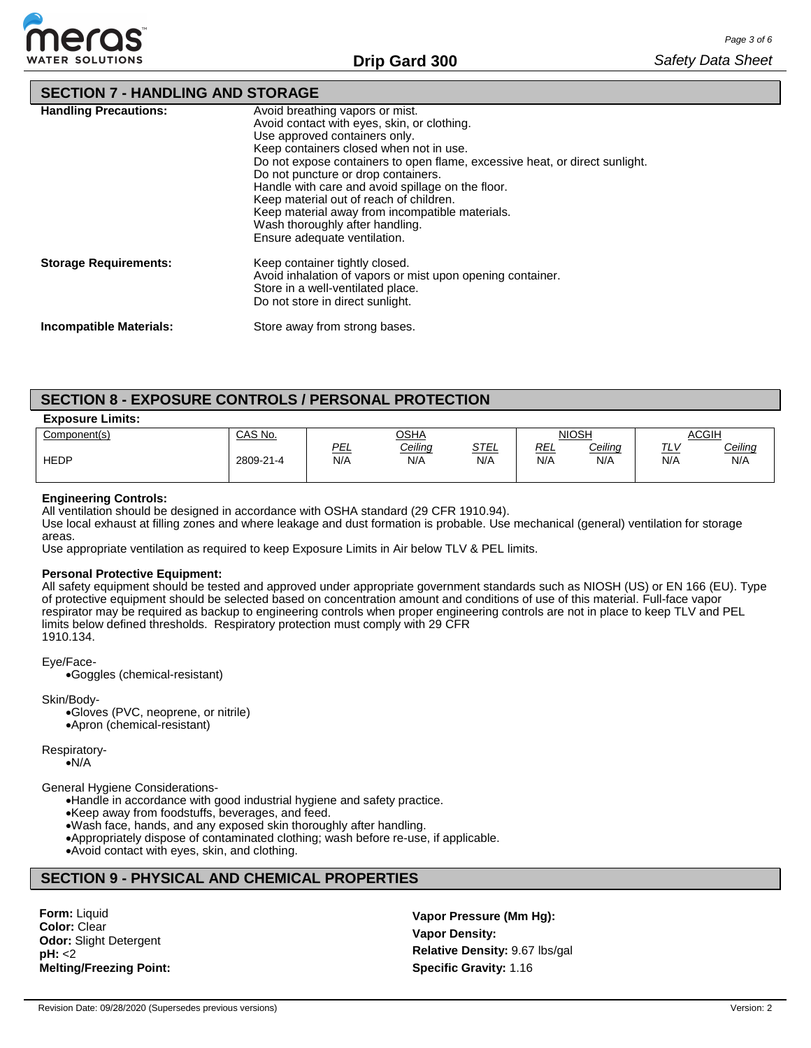

# **SECTION 7 - HANDLING AND STORAGE**

| <b>Handling Precautions:</b>   | Avoid breathing vapors or mist.<br>Avoid contact with eyes, skin, or clothing.<br>Use approved containers only.<br>Keep containers closed when not in use.<br>Do not expose containers to open flame, excessive heat, or direct sunlight.<br>Do not puncture or drop containers.<br>Handle with care and avoid spillage on the floor.<br>Keep material out of reach of children.<br>Keep material away from incompatible materials.<br>Wash thoroughly after handling.<br>Ensure adequate ventilation. |
|--------------------------------|--------------------------------------------------------------------------------------------------------------------------------------------------------------------------------------------------------------------------------------------------------------------------------------------------------------------------------------------------------------------------------------------------------------------------------------------------------------------------------------------------------|
| <b>Storage Requirements:</b>   | Keep container tightly closed.<br>Avoid inhalation of vapors or mist upon opening container.<br>Store in a well-ventilated place.<br>Do not store in direct sunlight.                                                                                                                                                                                                                                                                                                                                  |
| <b>Incompatible Materials:</b> | Store away from strong bases.                                                                                                                                                                                                                                                                                                                                                                                                                                                                          |

# **SECTION 8 - EXPOSURE CONTROLS / PERSONAL PROTECTION**

### **Exposure Limits:**

| _ _ _ _ _    |           |            |                |                    |                   |                |                              |                       |
|--------------|-----------|------------|----------------|--------------------|-------------------|----------------|------------------------------|-----------------------|
| Component(s) | CAS No.   |            | <b>OSHA</b>    |                    |                   | <b>NIOSH</b>   |                              | <b>ACGIH</b>          |
| <b>HEDP</b>  | 2809-21-4 | PEL<br>N/A | Ceiling<br>N/A | <u>STEL</u><br>N/A | <u>REL</u><br>N/A | Ceiling<br>N/A | $\tau$<br><u> '느'</u><br>N/A | <u>Ceiling</u><br>N/A |

## **Engineering Controls:**

All ventilation should be designed in accordance with OSHA standard (29 CFR 1910.94).

Use local exhaust at filling zones and where leakage and dust formation is probable. Use mechanical (general) ventilation for storage areas.

Use appropriate ventilation as required to keep Exposure Limits in Air below TLV & PEL limits.

## **Personal Protective Equipment:**

All safety equipment should be tested and approved under appropriate government standards such as NIOSH (US) or EN 166 (EU). Type of protective equipment should be selected based on concentration amount and conditions of use of this material. Full-face vapor respirator may be required as backup to engineering controls when proper engineering controls are not in place to keep TLV and PEL limits below defined thresholds. Respiratory protection must comply with 29 CFR 1910.134.

#### Eye/Face-

•Goggles (chemical-resistant)

Skin/Body-

•Gloves (PVC, neoprene, or nitrile) •Apron (chemical-resistant)

Respiratory-

•N/A

General Hygiene Considerations-

•Handle in accordance with good industrial hygiene and safety practice.

•Keep away from foodstuffs, beverages, and feed.

•Wash face, hands, and any exposed skin thoroughly after handling.

•Appropriately dispose of contaminated clothing; wash before re-use, if applicable.

•Avoid contact with eyes, skin, and clothing.

# **SECTION 9 - PHYSICAL AND CHEMICAL PROPERTIES**

**Form:** Liquid **Color:** Clear **Odor:** Slight Detergent **pH:** <2 **Melting/Freezing Point:**

**Vapor Pressure (Mm Hg): Vapor Density: Relative Density:** 9.67 lbs/gal **Specific Gravity:** 1.16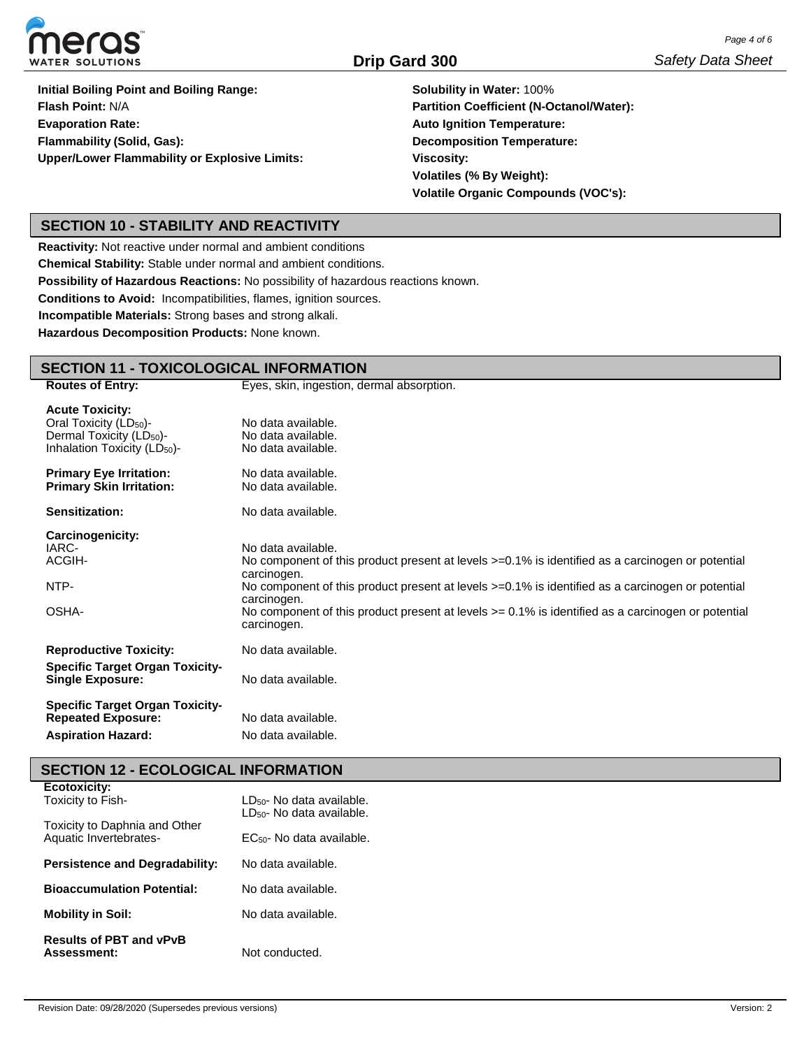

**Initial Boiling Point and Boiling Range: Flash Point:** N/A **Evaporation Rate: Flammability (Solid, Gas): Upper/Lower Flammability or Explosive Limits:**

**Solubility in Water:** 100% **Partition Coefficient (N-Octanol/Water): Auto Ignition Temperature: Decomposition Temperature: Viscosity: Volatiles (% By Weight): Volatile Organic Compounds (VOC's):**

# **SECTION 10 - STABILITY AND REACTIVITY**

**Reactivity:** Not reactive under normal and ambient conditions

**Chemical Stability:** Stable under normal and ambient conditions.

**Possibility of Hazardous Reactions:** No possibility of hazardous reactions known.

**Conditions to Avoid:** Incompatibilities, flames, ignition sources.

**Incompatible Materials:** Strong bases and strong alkali.

**Hazardous Decomposition Products:** None known.

#### **SECTION 11 - TOXICOLOGICAL INFORMATION Routes of Entry:** Eyes, skin, ingestion, dermal absorption. **Acute Toxicity:** Oral Toxicity  $(LD_{50})$ -Dermal Toxicity (LD<sub>50</sub>)-Inhalation Toxicity (LD<sub>50</sub>)-No data available. No data available. No data available. **Primary Eye Irritation: Primary Skin Irritation:** No data available. No data available. **Sensitization:** No data available. **Carcinogenicity:** IARC-ACGIH-NTP-OSHA-**Reproductive Toxicity:** No data available. No component of this product present at levels >=0.1% is identified as a carcinogen or potential carcinogen. No component of this product present at levels  $>=0.1\%$  is identified as a carcinogen or potential carcinogen. No component of this product present at levels >= 0.1% is identified as a carcinogen or potential carcinogen. No data available. **Specific Target Organ Toxicity-Single Exposure:** No data available. **Specific Target Organ Toxicity-Repeated Exposure:** No data available. Aspiration Hazard: No data available.

# **SECTION 12 - ECOLOGICAL INFORMATION**

**Ecotoxicity:**

| EUULUAIUILY.<br>Toxicity to Fish-                       | LD <sub>50</sub> - No data available.<br>$LD_{50}$ - No data available. |  |  |  |
|---------------------------------------------------------|-------------------------------------------------------------------------|--|--|--|
| Toxicity to Daphnia and Other<br>Aquatic Invertebrates- | EC <sub>50</sub> - No data available.                                   |  |  |  |
| <b>Persistence and Degradability:</b>                   | No data available.                                                      |  |  |  |
| <b>Bioaccumulation Potential:</b>                       | No data available.                                                      |  |  |  |
| <b>Mobility in Soil:</b>                                | No data available.                                                      |  |  |  |
| <b>Results of PBT and vPvB</b><br>Assessment:           | Not conducted.                                                          |  |  |  |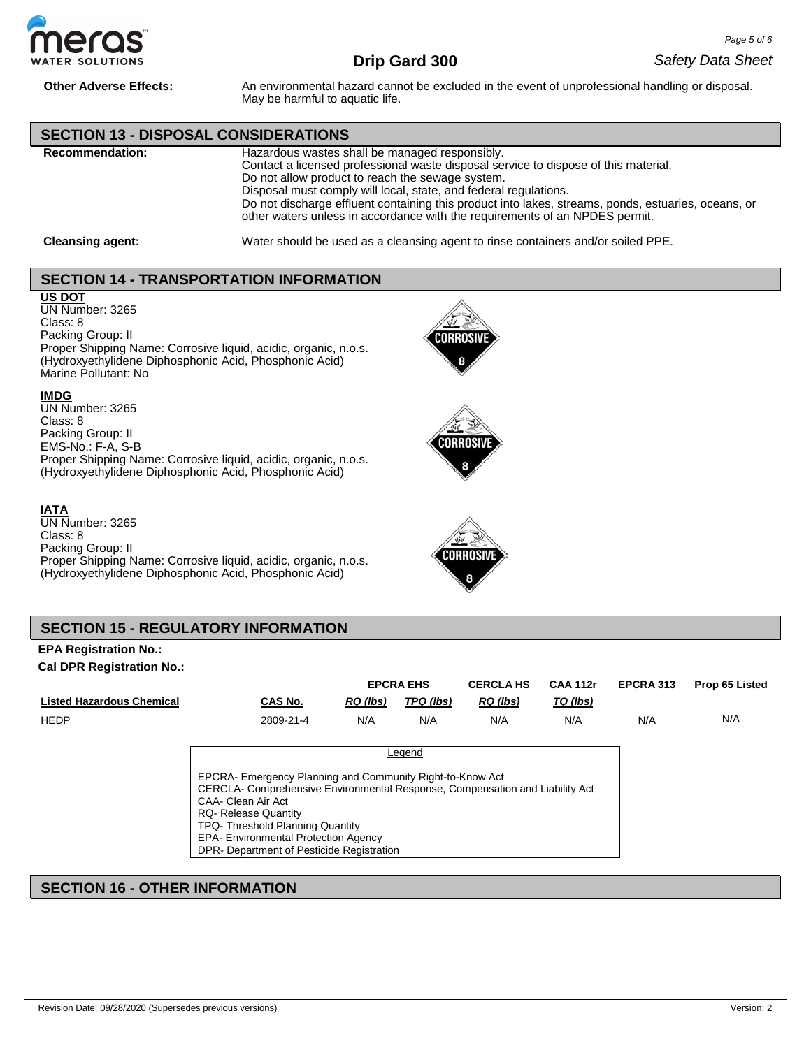

**Other Adverse Effects:** An environmental hazard cannot be excluded in the event of unprofessional handling or disposal. May be harmful to aquatic life.

## **SECTION 13 - DISPOSAL CONSIDERATIONS**

**Recommendation:** Hazardous wastes shall be managed responsibly. Contact a licensed professional waste disposal service to dispose of this material. Do not allow product to reach the sewage system. Disposal must comply will local, state, and federal regulations. Do not discharge effluent containing this product into lakes, streams, ponds, estuaries, oceans, or other waters unless in accordance with the requirements of an NPDES permit.

**Cleansing agent:** Water should be used as a cleansing agent to rinse containers and/or soiled PPE.

## **SECTION 14 - TRANSPORTATION INFORMATION**

## **US DOT**

UN Number: 3265 Class: 8

Packing Group: II

Proper Shipping Name: Corrosive liquid, acidic, organic, n.o.s. (Hydroxyethylidene Diphosphonic Acid, Phosphonic Acid) Marine Pollutant: No

## **IMDG**

UN Number: 3265 Class: 8 Packing Group: II EMS-No.: F-A, S-B Proper Shipping Name: Corrosive liquid, acidic, organic, n.o.s. (Hydroxyethylidene Diphosphonic Acid, Phosphonic Acid)

## **IATA**

UN Number: 3265 Class: 8 Packing Group: II Proper Shipping Name: Corrosive liquid, acidic, organic, n.o.s. (Hydroxyethylidene Diphosphonic Acid, Phosphonic Acid)







# **SECTION 15 - REGULATORY INFORMATION**

### **EPA Registration No.: Cal DPR Registration No.:**

|                           |                                                                                                                                                                                                                                                                                                                               |                 | <b>EPCRA EHS</b> | <b>CERCLA HS</b> | <b>CAA 112r</b> | EPCRA 313 | Prop 65 Listed |
|---------------------------|-------------------------------------------------------------------------------------------------------------------------------------------------------------------------------------------------------------------------------------------------------------------------------------------------------------------------------|-----------------|------------------|------------------|-----------------|-----------|----------------|
| Listed Hazardous Chemical | CAS No.                                                                                                                                                                                                                                                                                                                       | <b>RQ</b> (lbs) | TPQ (lbs)        | RQ (lbs)         | TQ (lbs)        |           |                |
| HEDP                      | 2809-21-4                                                                                                                                                                                                                                                                                                                     | N/A             | N/A              | N/A              | N/A             | N/A       | N/A            |
|                           |                                                                                                                                                                                                                                                                                                                               |                 |                  |                  |                 |           |                |
|                           |                                                                                                                                                                                                                                                                                                                               |                 | Legend           |                  |                 |           |                |
|                           | EPCRA- Emergency Planning and Community Right-to-Know Act<br>CERCLA- Comprehensive Environmental Response, Compensation and Liability Act<br>CAA- Clean Air Act<br><b>RQ- Release Quantity</b><br>TPQ-Threshold Planning Quantity<br><b>EPA- Environmental Protection Agency</b><br>DPR- Department of Pesticide Registration |                 |                  |                  |                 |           |                |

# **SECTION 16 - OTHER INFORMATION**